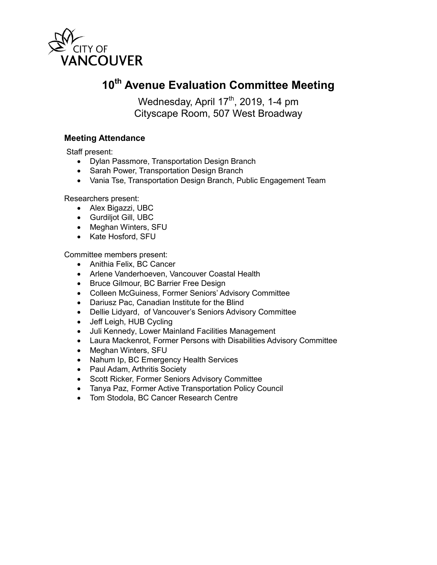

## **10th Avenue Evaluation Committee Meeting**

Wednesday, April 17<sup>th</sup>, 2019, 1-4 pm Cityscape Room, 507 West Broadway

## **Meeting Attendance**

Staff present:

- Dylan Passmore, Transportation Design Branch
- Sarah Power, Transportation Design Branch
- Vania Tse, Transportation Design Branch, Public Engagement Team

Researchers present:

- Alex Bigazzi, UBC
- Gurdiljot Gill, UBC
- Meghan Winters, SFU
- Kate Hosford, SFU

Committee members present:

- Anithia Felix, BC Cancer
- Arlene Vanderhoeven, Vancouver Coastal Health
- Bruce Gilmour, BC Barrier Free Design
- Colleen McGuiness, Former Seniors' Advisory Committee
- Dariusz Pac, Canadian Institute for the Blind
- Dellie Lidyard, of Vancouver's Seniors Advisory Committee
- Jeff Leigh, HUB Cycling
- Juli Kennedy, Lower Mainland Facilities Management
- Laura Mackenrot, Former Persons with Disabilities Advisory Committee
- Meghan Winters, SFU
- Nahum Ip, BC Emergency Health Services
- Paul Adam, Arthritis Society
- Scott Ricker, Former Seniors Advisory Committee
- Tanya Paz, Former Active Transportation Policy Council
- Tom Stodola, BC Cancer Research Centre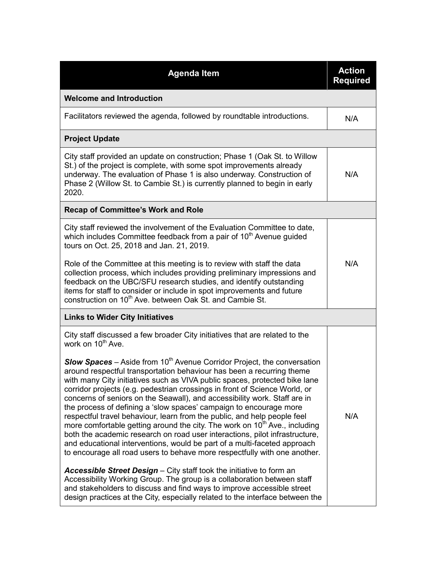| <b>Agenda Item</b>                                                                                                                                                                                                                                                                                                                                                                                                                                                                                                                                                                                                                                                                                                                                                                                                                                                                     | <b>Action</b><br><b>Required</b> |
|----------------------------------------------------------------------------------------------------------------------------------------------------------------------------------------------------------------------------------------------------------------------------------------------------------------------------------------------------------------------------------------------------------------------------------------------------------------------------------------------------------------------------------------------------------------------------------------------------------------------------------------------------------------------------------------------------------------------------------------------------------------------------------------------------------------------------------------------------------------------------------------|----------------------------------|
| <b>Welcome and Introduction</b>                                                                                                                                                                                                                                                                                                                                                                                                                                                                                                                                                                                                                                                                                                                                                                                                                                                        |                                  |
| Facilitators reviewed the agenda, followed by roundtable introductions.                                                                                                                                                                                                                                                                                                                                                                                                                                                                                                                                                                                                                                                                                                                                                                                                                | N/A                              |
| <b>Project Update</b>                                                                                                                                                                                                                                                                                                                                                                                                                                                                                                                                                                                                                                                                                                                                                                                                                                                                  |                                  |
| City staff provided an update on construction; Phase 1 (Oak St. to Willow<br>St.) of the project is complete, with some spot improvements already<br>underway. The evaluation of Phase 1 is also underway. Construction of<br>Phase 2 (Willow St. to Cambie St.) is currently planned to begin in early<br>2020.                                                                                                                                                                                                                                                                                                                                                                                                                                                                                                                                                                       | N/A                              |
| <b>Recap of Committee's Work and Role</b>                                                                                                                                                                                                                                                                                                                                                                                                                                                                                                                                                                                                                                                                                                                                                                                                                                              |                                  |
| City staff reviewed the involvement of the Evaluation Committee to date,<br>which includes Committee feedback from a pair of 10 <sup>th</sup> Avenue guided<br>tours on Oct. 25, 2018 and Jan. 21, 2019.                                                                                                                                                                                                                                                                                                                                                                                                                                                                                                                                                                                                                                                                               |                                  |
| Role of the Committee at this meeting is to review with staff the data<br>collection process, which includes providing preliminary impressions and<br>feedback on the UBC/SFU research studies, and identify outstanding<br>items for staff to consider or include in spot improvements and future<br>construction on 10 <sup>th</sup> Ave. between Oak St. and Cambie St.                                                                                                                                                                                                                                                                                                                                                                                                                                                                                                             | N/A                              |
| <b>Links to Wider City Initiatives</b>                                                                                                                                                                                                                                                                                                                                                                                                                                                                                                                                                                                                                                                                                                                                                                                                                                                 |                                  |
| City staff discussed a few broader City initiatives that are related to the<br>work on 10 <sup>th</sup> Ave.                                                                                                                                                                                                                                                                                                                                                                                                                                                                                                                                                                                                                                                                                                                                                                           |                                  |
| <b>Slow Spaces</b> – Aside from $10th$ Avenue Corridor Project, the conversation<br>around respectful transportation behaviour has been a recurring theme<br>with many City initiatives such as VIVA public spaces, protected bike lane<br>corridor projects (e.g. pedestrian crossings in front of Science World, or<br>concerns of seniors on the Seawall), and accessibility work. Staff are in<br>the process of defining a 'slow spaces' campaign to encourage more<br>respectful travel behaviour, learn from the public, and help people feel<br>more comfortable getting around the city. The work on 10 <sup>th</sup> Ave., including<br>both the academic research on road user interactions, pilot infrastructure,<br>and educational interventions, would be part of a multi-faceted approach<br>to encourage all road users to behave more respectfully with one another. | N/A                              |
| Accessible Street Design - City staff took the initiative to form an<br>Accessibility Working Group. The group is a collaboration between staff<br>and stakeholders to discuss and find ways to improve accessible street<br>design practices at the City, especially related to the interface between the                                                                                                                                                                                                                                                                                                                                                                                                                                                                                                                                                                             |                                  |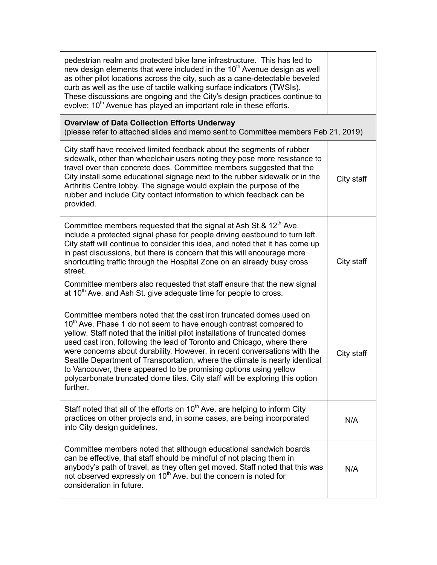| pedestrian realm and protected bike lane infrastructure. This has led to<br>new design elements that were included in the 10 <sup>th</sup> Avenue design as well<br>as other pilot locations across the city, such as a cane-detectable beveled<br>curb as well as the use of tactile walking surface indicators (TWSIs).<br>These discussions are ongoing and the City's design practices continue to<br>evolve; 10 <sup>th</sup> Avenue has played an important role in these efforts.                                                                                                                                                  |            |
|-------------------------------------------------------------------------------------------------------------------------------------------------------------------------------------------------------------------------------------------------------------------------------------------------------------------------------------------------------------------------------------------------------------------------------------------------------------------------------------------------------------------------------------------------------------------------------------------------------------------------------------------|------------|
| <b>Overview of Data Collection Efforts Underway</b><br>(please refer to attached slides and memo sent to Committee members Feb 21, 2019)                                                                                                                                                                                                                                                                                                                                                                                                                                                                                                  |            |
| City staff have received limited feedback about the segments of rubber<br>sidewalk, other than wheelchair users noting they pose more resistance to<br>travel over than concrete does. Committee members suggested that the<br>City install some educational signage next to the rubber sidewalk or in the<br>Arthritis Centre lobby. The signage would explain the purpose of the<br>rubber and include City contact information to which feedback can be<br>provided.                                                                                                                                                                   | City staff |
| Committee members requested that the signal at Ash St.& 12 <sup>th</sup> Ave.<br>include a protected signal phase for people driving eastbound to turn left.<br>City staff will continue to consider this idea, and noted that it has come up<br>in past discussions, but there is concern that this will encourage more<br>shortcutting traffic through the Hospital Zone on an already busy cross<br>street.<br>Committee members also requested that staff ensure that the new signal<br>at $10th$ Ave. and Ash St. give adequate time for people to cross.                                                                            | City staff |
| Committee members noted that the cast iron truncated domes used on<br>10 <sup>th</sup> Ave. Phase 1 do not seem to have enough contrast compared to<br>yellow. Staff noted that the initial pilot installations of truncated domes<br>used cast iron, following the lead of Toronto and Chicago, where there<br>were concerns about durability. However, in recent conversations with the<br>Seattle Department of Transportation, where the climate is nearly identical<br>to Vancouver, there appeared to be promising options using yellow<br>polycarbonate truncated dome tiles. City staff will be exploring this option<br>further. | City staff |
| Staff noted that all of the efforts on $10th$ Ave. are helping to inform City<br>practices on other projects and, in some cases, are being incorporated<br>into City design guidelines.                                                                                                                                                                                                                                                                                                                                                                                                                                                   | N/A        |
| Committee members noted that although educational sandwich boards<br>can be effective, that staff should be mindful of not placing them in<br>anybody's path of travel, as they often get moved. Staff noted that this was<br>not observed expressly on 10 <sup>th</sup> Ave. but the concern is noted for<br>consideration in future.                                                                                                                                                                                                                                                                                                    | N/A        |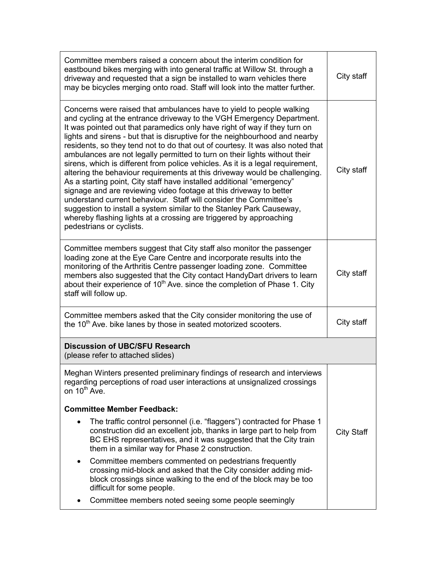| Committee members raised a concern about the interim condition for<br>eastbound bikes merging with into general traffic at Willow St. through a<br>driveway and requested that a sign be installed to warn vehicles there<br>may be bicycles merging onto road. Staff will look into the matter further.                                                                                                                                                                                                                                                                                                                                                                                                                                                                                                                                                                                                                                                                                                                                | City staff        |
|-----------------------------------------------------------------------------------------------------------------------------------------------------------------------------------------------------------------------------------------------------------------------------------------------------------------------------------------------------------------------------------------------------------------------------------------------------------------------------------------------------------------------------------------------------------------------------------------------------------------------------------------------------------------------------------------------------------------------------------------------------------------------------------------------------------------------------------------------------------------------------------------------------------------------------------------------------------------------------------------------------------------------------------------|-------------------|
| Concerns were raised that ambulances have to yield to people walking<br>and cycling at the entrance driveway to the VGH Emergency Department.<br>It was pointed out that paramedics only have right of way if they turn on<br>lights and sirens - but that is disruptive for the neighbourhood and nearby<br>residents, so they tend not to do that out of courtesy. It was also noted that<br>ambulances are not legally permitted to turn on their lights without their<br>sirens, which is different from police vehicles. As it is a legal requirement,<br>altering the behaviour requirements at this driveway would be challenging.<br>As a starting point, City staff have installed additional "emergency"<br>signage and are reviewing video footage at this driveway to better<br>understand current behaviour. Staff will consider the Committee's<br>suggestion to install a system similar to the Stanley Park Causeway,<br>whereby flashing lights at a crossing are triggered by approaching<br>pedestrians or cyclists. | City staff        |
| Committee members suggest that City staff also monitor the passenger<br>loading zone at the Eye Care Centre and incorporate results into the<br>monitoring of the Arthritis Centre passenger loading zone. Committee<br>members also suggested that the City contact HandyDart drivers to learn<br>about their experience of 10 <sup>th</sup> Ave. since the completion of Phase 1. City<br>staff will follow up.                                                                                                                                                                                                                                                                                                                                                                                                                                                                                                                                                                                                                       | City staff        |
| Committee members asked that the City consider monitoring the use of<br>the 10 <sup>th</sup> Ave. bike lanes by those in seated motorized scooters.                                                                                                                                                                                                                                                                                                                                                                                                                                                                                                                                                                                                                                                                                                                                                                                                                                                                                     | City staff        |
| <b>Discussion of UBC/SFU Research</b><br>(please refer to attached slides)                                                                                                                                                                                                                                                                                                                                                                                                                                                                                                                                                                                                                                                                                                                                                                                                                                                                                                                                                              |                   |
| Meghan Winters presented preliminary findings of research and interviews<br>regarding perceptions of road user interactions at unsignalized crossings<br>on 10 <sup>th</sup> Ave.                                                                                                                                                                                                                                                                                                                                                                                                                                                                                                                                                                                                                                                                                                                                                                                                                                                       |                   |
| <b>Committee Member Feedback:</b>                                                                                                                                                                                                                                                                                                                                                                                                                                                                                                                                                                                                                                                                                                                                                                                                                                                                                                                                                                                                       |                   |
| The traffic control personnel (i.e. "flaggers") contracted for Phase 1<br>$\bullet$<br>construction did an excellent job, thanks in large part to help from<br>BC EHS representatives, and it was suggested that the City train<br>them in a similar way for Phase 2 construction.                                                                                                                                                                                                                                                                                                                                                                                                                                                                                                                                                                                                                                                                                                                                                      | <b>City Staff</b> |
| Committee members commented on pedestrians frequently<br>$\bullet$<br>crossing mid-block and asked that the City consider adding mid-<br>block crossings since walking to the end of the block may be too<br>difficult for some people.                                                                                                                                                                                                                                                                                                                                                                                                                                                                                                                                                                                                                                                                                                                                                                                                 |                   |
| Committee members noted seeing some people seemingly                                                                                                                                                                                                                                                                                                                                                                                                                                                                                                                                                                                                                                                                                                                                                                                                                                                                                                                                                                                    |                   |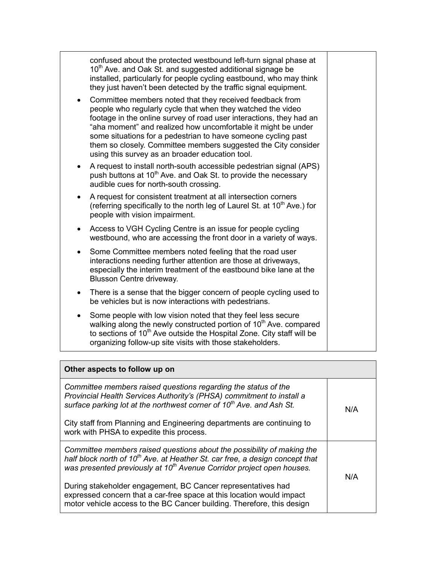|           | confused about the protected westbound left-turn signal phase at<br>10 <sup>th</sup> Ave. and Oak St. and suggested additional signage be<br>installed, particularly for people cycling eastbound, who may think<br>they just haven't been detected by the traffic signal equipment.                                                                                                                                                                  |  |
|-----------|-------------------------------------------------------------------------------------------------------------------------------------------------------------------------------------------------------------------------------------------------------------------------------------------------------------------------------------------------------------------------------------------------------------------------------------------------------|--|
| $\bullet$ | Committee members noted that they received feedback from<br>people who regularly cycle that when they watched the video<br>footage in the online survey of road user interactions, they had an<br>"aha moment" and realized how uncomfortable it might be under<br>some situations for a pedestrian to have someone cycling past<br>them so closely. Committee members suggested the City consider<br>using this survey as an broader education tool. |  |
| $\bullet$ | A request to install north-south accessible pedestrian signal (APS)<br>push buttons at 10 <sup>th</sup> Ave. and Oak St. to provide the necessary<br>audible cues for north-south crossing.                                                                                                                                                                                                                                                           |  |
| $\bullet$ | A request for consistent treatment at all intersection corners<br>(referring specifically to the north leg of Laurel St. at 10 <sup>th</sup> Ave.) for<br>people with vision impairment.                                                                                                                                                                                                                                                              |  |
| ٠         | Access to VGH Cycling Centre is an issue for people cycling<br>westbound, who are accessing the front door in a variety of ways.                                                                                                                                                                                                                                                                                                                      |  |
| $\bullet$ | Some Committee members noted feeling that the road user<br>interactions needing further attention are those at driveways,<br>especially the interim treatment of the eastbound bike lane at the<br>Blusson Centre driveway.                                                                                                                                                                                                                           |  |
| ٠         | There is a sense that the bigger concern of people cycling used to<br>be vehicles but is now interactions with pedestrians.                                                                                                                                                                                                                                                                                                                           |  |
| $\bullet$ | Some people with low vision noted that they feel less secure<br>walking along the newly constructed portion of 10 <sup>th</sup> Ave. compared<br>to sections of 10 <sup>th</sup> Ave outside the Hospital Zone. City staff will be<br>organizing follow-up site visits with those stakeholders.                                                                                                                                                       |  |

| Other aspects to follow up on                                                                                                                                                                                                                           |     |
|---------------------------------------------------------------------------------------------------------------------------------------------------------------------------------------------------------------------------------------------------------|-----|
| Committee members raised questions regarding the status of the<br>Provincial Health Services Authority's (PHSA) commitment to install a<br>surface parking lot at the northwest corner of 10 <sup>th</sup> Ave. and Ash St.                             | N/A |
| City staff from Planning and Engineering departments are continuing to<br>work with PHSA to expedite this process.                                                                                                                                      |     |
| Committee members raised questions about the possibility of making the<br>half block north of 10 <sup>th</sup> Ave. at Heather St. car free, a design concept that<br>was presented previously at 10 <sup>th</sup> Avenue Corridor project open houses. | N/A |
| During stakeholder engagement, BC Cancer representatives had<br>expressed concern that a car-free space at this location would impact<br>motor vehicle access to the BC Cancer building. Therefore, this design                                         |     |